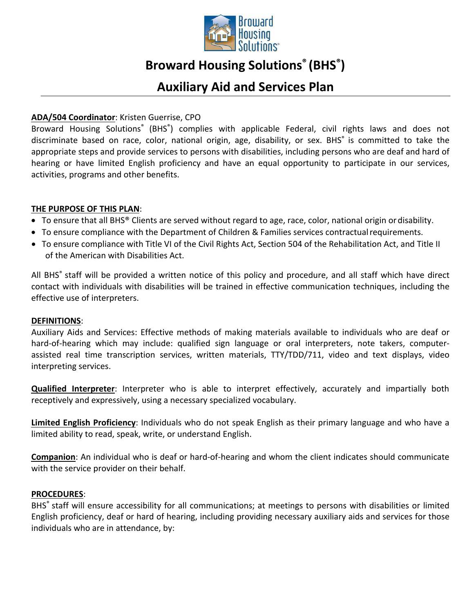

# **Broward Housing Solutions® (BHS® )**

# **Auxiliary Aid and Services Plan**

# **ADA/504 Coordinator**: Kristen Guerrise, CPO

Broward Housing Solutions® (BHS®) complies with applicable Federal, civil rights laws and does not discriminate based on race, color, national origin, age, disability, or sex. BHS<sup>®</sup> is committed to take the appropriate steps and provide services to persons with disabilities, including persons who are deaf and hard of hearing or have limited English proficiency and have an equal opportunity to participate in our services, activities, programs and other benefits.

# **THE PURPOSE OF THIS PLAN**:

- To ensure that all BHS® Clients are served without regard to age, race, color, national origin ordisability.
- To ensure compliance with the Department of Children & Families services contractual requirements.
- To ensure compliance with Title VI of the Civil Rights Act, Section 504 of the Rehabilitation Act, and Title II of the American with Disabilities Act.

All BHS® staff will be provided a written notice of this policy and procedure, and all staff which have direct contact with individuals with disabilities will be trained in effective communication techniques, including the effective use of interpreters.

#### **DEFINITIONS**:

Auxiliary Aids and Services: Effective methods of making materials available to individuals who are deaf or hard-of-hearing which may include: qualified sign language or oral interpreters, note takers, computerassisted real time transcription services, written materials, TTY/TDD/711, video and text displays, video interpreting services.

**Qualified Interpreter**: Interpreter who is able to interpret effectively, accurately and impartially both receptively and expressively, using a necessary specialized vocabulary.

**Limited English Proficiency**: Individuals who do not speak English as their primary language and who have a limited ability to read, speak, write, or understand English.

**Companion**: An individual who is deaf or hard-of-hearing and whom the client indicates should communicate with the service provider on their behalf.

#### **PROCEDURES**:

BHS<sup>®</sup> staff will ensure accessibility for all communications; at meetings to persons with disabilities or limited English proficiency, deaf or hard of hearing, including providing necessary auxiliary aids and services for those individuals who are in attendance, by: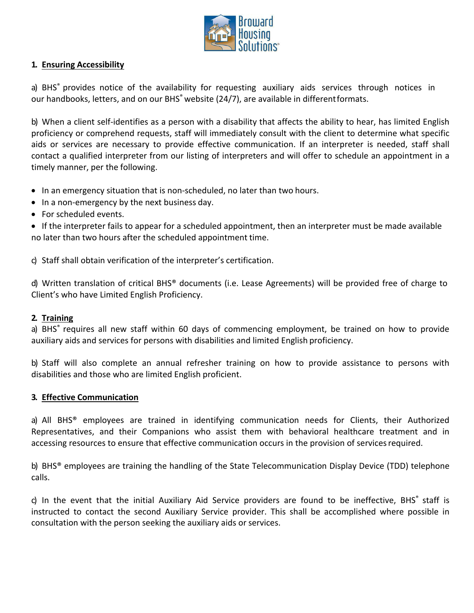

# **1. Ensuring Accessibility**

a) BHS<sup>®</sup> provides notice of the availability for requesting auxiliary aids services through notices in our handbooks, letters, and on our BHS<sup>®</sup> website (24/7), are available in different formats.

b) When a client self-identifies as a person with a disability that affects the ability to hear, has limited English proficiency or comprehend requests, staff will immediately consult with the client to determine what specific aids or services are necessary to provide effective communication. If an interpreter is needed, staff shall contact a qualified interpreter from our listing of interpreters and will offer to schedule an appointment in a timely manner, per the following.

- In an emergency situation that is non-scheduled, no later than two hours.
- In a non-emergency by the next business day.
- For scheduled events.

• If the interpreter fails to appear for a scheduled appointment, then an interpreter must be made available no later than two hours after the scheduled appointment time.

c) Staff shall obtain verification of the interpreter's certification.

d) Written translation of critical BHS® documents (i.e. Lease Agreements) will be provided free of charge to Client's who have Limited English Proficiency.

#### **2. Training**

a) BHS<sup>®</sup> requires all new staff within 60 days of commencing employment, be trained on how to provide auxiliary aids and services for persons with disabilities and limited English proficiency.

b) Staff will also complete an annual refresher training on how to provide assistance to persons with disabilities and those who are limited English proficient.

#### **3. Effective Communication**

a) All BHS® employees are trained in identifying communication needs for Clients, their Authorized Representatives, and their Companions who assist them with behavioral healthcare treatment and in accessing resources to ensure that effective communication occurs in the provision of servicesrequired.

b) BHS® employees are training the handling of the State Telecommunication Display Device (TDD) telephone calls.

c) In the event that the initial Auxiliary Aid Service providers are found to be ineffective, BHS<sup>®</sup> staff is instructed to contact the second Auxiliary Service provider. This shall be accomplished where possible in consultation with the person seeking the auxiliary aids or services.